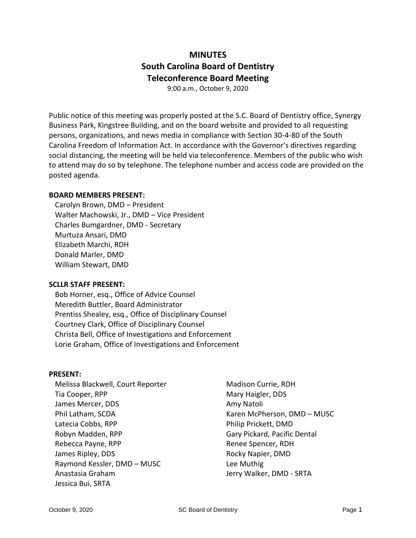# **MINUTES South Carolina Board of Dentistry Teleconference Board Meeting**

9:00 a.m., October 9, 2020

Public notice of this meeting was properly posted at the S.C. Board of Dentistry office, Synergy Business Park, Kingstree Building, and on the board website and provided to all requesting persons, organizations, and news media in compliance with Section 30-4-80 of the South Carolina Freedom of Information Act. In accordance with the Governor's directives regarding social distancing, the meeting will be held via teleconference. Members of the public who wish to attend may do so by telephone. The telephone number and access code are provided on the posted agenda.

#### **BOARD MEMBERS PRESENT:**

Carolyn Brown, DMD – President Walter Machowski, Jr., DMD – Vice President Charles Bumgardner, DMD - Secretary Murtuza Ansari, DMD Elizabeth Marchi, RDH Donald Marler, DMD William Stewart, DMD

### **SCLLR STAFF PRESENT:**

Bob Horner, esq., Office of Advice Counsel Meredith Buttler, Board Administrator Prentiss Shealey, esq., Office of Disciplinary Counsel Courtney Clark, Office of Disciplinary Counsel Christa Bell, Office of Investigations and Enforcement Lorie Graham, Office of Investigations and Enforcement

### **PRESENT:**

| Melissa Blackwell, Court Reporter |
|-----------------------------------|
| Tia Cooper, RPP                   |
| James Mercer, DDS                 |
| Phil Latham, SCDA                 |
| Latecia Cobbs, RPP                |
| Robyn Madden, RPP                 |
| Rebecca Payne, RPP                |
| James Ripley, DDS                 |
| Raymond Kessler, DMD - MUSC       |
| Anastasia Graham                  |
| Jessica Bui, SRTA                 |

Madison Currie, RDH Mary Haigler, DDS Amy Natoli Karen McPherson, DMD – MUSC Philip Prickett, DMD Gary Pickard, Pacific Dental Renee Spencer, RDH Rocky Napier, DMD Lee Muthig Jerry Walker, DMD - SRTA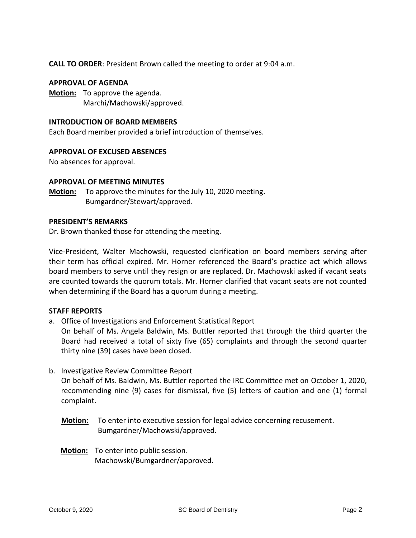**CALL TO ORDER**: President Brown called the meeting to order at 9:04 a.m.

### **APPROVAL OF AGENDA**

**Motion:** To approve the agenda. Marchi/Machowski/approved.

### **INTRODUCTION OF BOARD MEMBERS**

Each Board member provided a brief introduction of themselves.

### **APPROVAL OF EXCUSED ABSENCES**

No absences for approval.

#### **APPROVAL OF MEETING MINUTES**

**Motion:** To approve the minutes for the July 10, 2020 meeting. Bumgardner/Stewart/approved.

### **PRESIDENT'S REMARKS**

Dr. Brown thanked those for attending the meeting.

Vice-President, Walter Machowski, requested clarification on board members serving after their term has official expired. Mr. Horner referenced the Board's practice act which allows board members to serve until they resign or are replaced. Dr. Machowski asked if vacant seats are counted towards the quorum totals. Mr. Horner clarified that vacant seats are not counted when determining if the Board has a quorum during a meeting.

### **STAFF REPORTS**

a. Office of Investigations and Enforcement Statistical Report

On behalf of Ms. Angela Baldwin, Ms. Buttler reported that through the third quarter the Board had received a total of sixty five (65) complaints and through the second quarter thirty nine (39) cases have been closed.

b. Investigative Review Committee Report

On behalf of Ms. Baldwin, Ms. Buttler reported the IRC Committee met on October 1, 2020, recommending nine (9) cases for dismissal, five (5) letters of caution and one (1) formal complaint.

- **Motion:** To enter into executive session for legal advice concerning recusement. Bumgardner/Machowski/approved.
- **Motion:** To enter into public session. Machowski/Bumgardner/approved.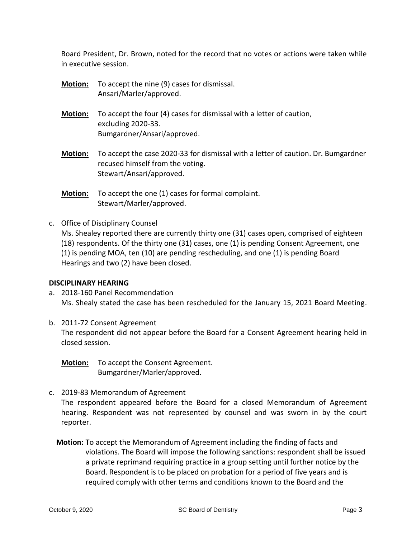Board President, Dr. Brown, noted for the record that no votes or actions were taken while in executive session.

- **Motion:** To accept the nine (9) cases for dismissal. Ansari/Marler/approved.
- **Motion:** To accept the four (4) cases for dismissal with a letter of caution, excluding 2020-33. Bumgardner/Ansari/approved.
- **Motion:** To accept the case 2020-33 for dismissal with a letter of caution. Dr. Bumgardner recused himself from the voting. Stewart/Ansari/approved.
- **Motion:** To accept the one (1) cases for formal complaint. Stewart/Marler/approved.
- c. Office of Disciplinary Counsel

Ms. Shealey reported there are currently thirty one (31) cases open, comprised of eighteen (18) respondents. Of the thirty one (31) cases, one (1) is pending Consent Agreement, one (1) is pending MOA, ten (10) are pending rescheduling, and one (1) is pending Board Hearings and two (2) have been closed.

### **DISCIPLINARY HEARING**

- a. 2018-160 Panel Recommendation Ms. Shealy stated the case has been rescheduled for the January 15, 2021 Board Meeting.
- b. 2011-72 Consent Agreement The respondent did not appear before the Board for a Consent Agreement hearing held in closed session.

**Motion:** To accept the Consent Agreement. Bumgardner/Marler/approved.

c. 2019-83 Memorandum of Agreement

The respondent appeared before the Board for a closed Memorandum of Agreement hearing. Respondent was not represented by counsel and was sworn in by the court reporter.

**Motion:** To accept the Memorandum of Agreement including the finding of facts and violations. The Board will impose the following sanctions: respondent shall be issued a private reprimand requiring practice in a group setting until further notice by the Board. Respondent is to be placed on probation for a period of five years and is required comply with other terms and conditions known to the Board and the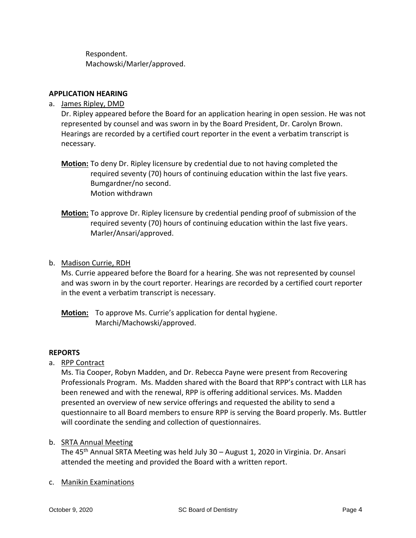Respondent. Machowski/Marler/approved.

# **APPLICATION HEARING**

# a. James Ripley, DMD

Dr. Ripley appeared before the Board for an application hearing in open session. He was not represented by counsel and was sworn in by the Board President, Dr. Carolyn Brown. Hearings are recorded by a certified court reporter in the event a verbatim transcript is necessary.

- **Motion:** To deny Dr. Ripley licensure by credential due to not having completed the required seventy (70) hours of continuing education within the last five years. Bumgardner/no second. Motion withdrawn
- **Motion:** To approve Dr. Ripley licensure by credential pending proof of submission of the required seventy (70) hours of continuing education within the last five years. Marler/Ansari/approved.

# b. Madison Currie, RDH

Ms. Currie appeared before the Board for a hearing. She was not represented by counsel and was sworn in by the court reporter. Hearings are recorded by a certified court reporter in the event a verbatim transcript is necessary.

**Motion:** To approve Ms. Currie's application for dental hygiene. Marchi/Machowski/approved.

# **REPORTS**

a. RPP Contract

Ms. Tia Cooper, Robyn Madden, and Dr. Rebecca Payne were present from Recovering Professionals Program. Ms. Madden shared with the Board that RPP's contract with LLR has been renewed and with the renewal, RPP is offering additional services. Ms. Madden presented an overview of new service offerings and requested the ability to send a questionnaire to all Board members to ensure RPP is serving the Board properly. Ms. Buttler will coordinate the sending and collection of questionnaires.

# b. SRTA Annual Meeting

The 45<sup>th</sup> Annual SRTA Meeting was held July 30 - August 1, 2020 in Virginia. Dr. Ansari attended the meeting and provided the Board with a written report.

# c. Manikin Examinations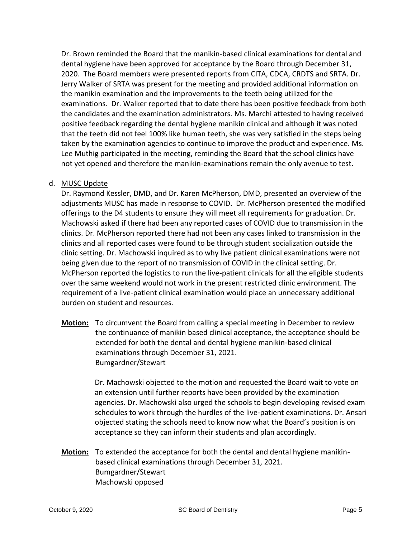Dr. Brown reminded the Board that the manikin-based clinical examinations for dental and dental hygiene have been approved for acceptance by the Board through December 31, 2020. The Board members were presented reports from CITA, CDCA, CRDTS and SRTA. Dr. Jerry Walker of SRTA was present for the meeting and provided additional information on the manikin examination and the improvements to the teeth being utilized for the examinations. Dr. Walker reported that to date there has been positive feedback from both the candidates and the examination administrators. Ms. Marchi attested to having received positive feedback regarding the dental hygiene manikin clinical and although it was noted that the teeth did not feel 100% like human teeth, she was very satisfied in the steps being taken by the examination agencies to continue to improve the product and experience. Ms. Lee Muthig participated in the meeting, reminding the Board that the school clinics have not yet opened and therefore the manikin-examinations remain the only avenue to test.

### d. MUSC Update

Dr. Raymond Kessler, DMD, and Dr. Karen McPherson, DMD, presented an overview of the adjustments MUSC has made in response to COVID. Dr. McPherson presented the modified offerings to the D4 students to ensure they will meet all requirements for graduation. Dr. Machowski asked if there had been any reported cases of COVID due to transmission in the clinics. Dr. McPherson reported there had not been any cases linked to transmission in the clinics and all reported cases were found to be through student socialization outside the clinic setting. Dr. Machowski inquired as to why live patient clinical examinations were not being given due to the report of no transmission of COVID in the clinical setting. Dr. McPherson reported the logistics to run the live-patient clinicals for all the eligible students over the same weekend would not work in the present restricted clinic environment. The requirement of a live-patient clinical examination would place an unnecessary additional burden on student and resources.

**Motion:** To circumvent the Board from calling a special meeting in December to review the continuance of manikin based clinical acceptance, the acceptance should be extended for both the dental and dental hygiene manikin-based clinical examinations through December 31, 2021. Bumgardner/Stewart

> Dr. Machowski objected to the motion and requested the Board wait to vote on an extension until further reports have been provided by the examination agencies. Dr. Machowski also urged the schools to begin developing revised exam schedules to work through the hurdles of the live-patient examinations. Dr. Ansari objected stating the schools need to know now what the Board's position is on acceptance so they can inform their students and plan accordingly.

**Motion:** To extended the acceptance for both the dental and dental hygiene manikinbased clinical examinations through December 31, 2021. Bumgardner/Stewart Machowski opposed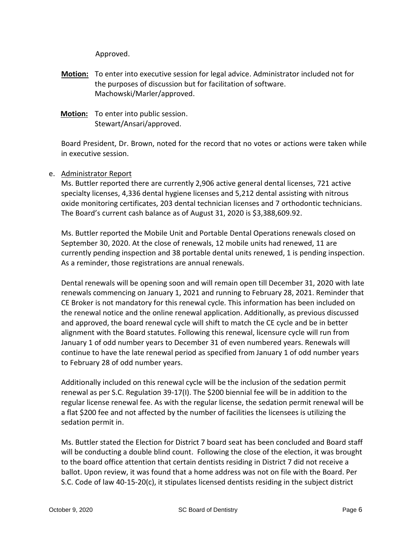Approved.

- **Motion:** To enter into executive session for legal advice. Administrator included not for the purposes of discussion but for facilitation of software. Machowski/Marler/approved.
- **Motion:** To enter into public session. Stewart/Ansari/approved.

Board President, Dr. Brown, noted for the record that no votes or actions were taken while in executive session.

# e. Administrator Report

Ms. Buttler reported there are currently 2,906 active general dental licenses, 721 active specialty licenses, 4,336 dental hygiene licenses and 5,212 dental assisting with nitrous oxide monitoring certificates, 203 dental technician licenses and 7 orthodontic technicians. The Board's current cash balance as of August 31, 2020 is \$3,388,609.92.

Ms. Buttler reported the Mobile Unit and Portable Dental Operations renewals closed on September 30, 2020. At the close of renewals, 12 mobile units had renewed, 11 are currently pending inspection and 38 portable dental units renewed, 1 is pending inspection. As a reminder, those registrations are annual renewals.

Dental renewals will be opening soon and will remain open till December 31, 2020 with late renewals commencing on January 1, 2021 and running to February 28, 2021. Reminder that CE Broker is not mandatory for this renewal cycle. This information has been included on the renewal notice and the online renewal application. Additionally, as previous discussed and approved, the board renewal cycle will shift to match the CE cycle and be in better alignment with the Board statutes. Following this renewal, licensure cycle will run from January 1 of odd number years to December 31 of even numbered years. Renewals will continue to have the late renewal period as specified from January 1 of odd number years to February 28 of odd number years.

Additionally included on this renewal cycle will be the inclusion of the sedation permit renewal as per S.C. Regulation 39-17(I). The \$200 biennial fee will be in addition to the regular license renewal fee. As with the regular license, the sedation permit renewal will be a flat \$200 fee and not affected by the number of facilities the licensees is utilizing the sedation permit in.

Ms. Buttler stated the Election for District 7 board seat has been concluded and Board staff will be conducting a double blind count. Following the close of the election, it was brought to the board office attention that certain dentists residing in District 7 did not receive a ballot. Upon review, it was found that a home address was not on file with the Board. Per S.C. Code of law 40-15-20(c), it stipulates licensed dentists residing in the subject district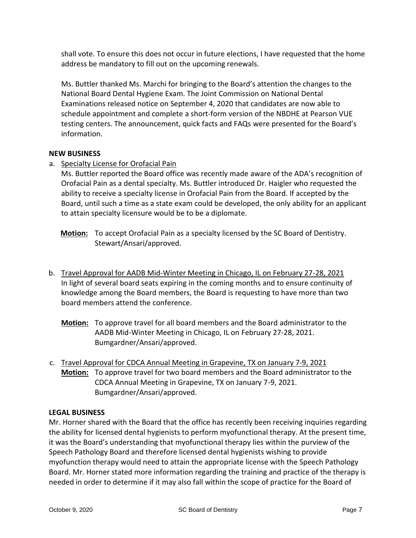shall vote. To ensure this does not occur in future elections, I have requested that the home address be mandatory to fill out on the upcoming renewals.

Ms. Buttler thanked Ms. Marchi for bringing to the Board's attention the changes to the National Board Dental Hygiene Exam. The Joint Commission on National Dental Examinations released notice on September 4, 2020 that candidates are now able to schedule appointment and complete a short-form version of the NBDHE at Pearson VUE testing centers. The announcement, quick facts and FAQs were presented for the Board's information.

# **NEW BUSINESS**

a. Specialty License for Orofacial Pain

Ms. Buttler reported the Board office was recently made aware of the ADA's recognition of Orofacial Pain as a dental specialty. Ms. Buttler introduced Dr. Haigler who requested the ability to receive a specialty license in Orofacial Pain from the Board. If accepted by the Board, until such a time as a state exam could be developed, the only ability for an applicant to attain specialty licensure would be to be a diplomate.

- **Motion:** To accept Orofacial Pain as a specialty licensed by the SC Board of Dentistry. Stewart/Ansari/approved.
- b. Travel Approval for AADB Mid-Winter Meeting in Chicago, IL on February 27-28, 2021 In light of several board seats expiring in the coming months and to ensure continuity of knowledge among the Board members, the Board is requesting to have more than two board members attend the conference.
	- **Motion:** To approve travel for all board members and the Board administrator to the AADB Mid-Winter Meeting in Chicago, IL on February 27-28, 2021. Bumgardner/Ansari/approved.
- c. Travel Approval for CDCA Annual Meeting in Grapevine, TX on January 7-9, 2021 **Motion:** To approve travel for two board members and the Board administrator to the CDCA Annual Meeting in Grapevine, TX on January 7-9, 2021. Bumgardner/Ansari/approved.

# **LEGAL BUSINESS**

Mr. Horner shared with the Board that the office has recently been receiving inquiries regarding the ability for licensed dental hygienists to perform myofunctional therapy. At the present time, it was the Board's understanding that myofunctional therapy lies within the purview of the Speech Pathology Board and therefore licensed dental hygienists wishing to provide myofunction therapy would need to attain the appropriate license with the Speech Pathology Board. Mr. Horner stated more information regarding the training and practice of the therapy is needed in order to determine if it may also fall within the scope of practice for the Board of